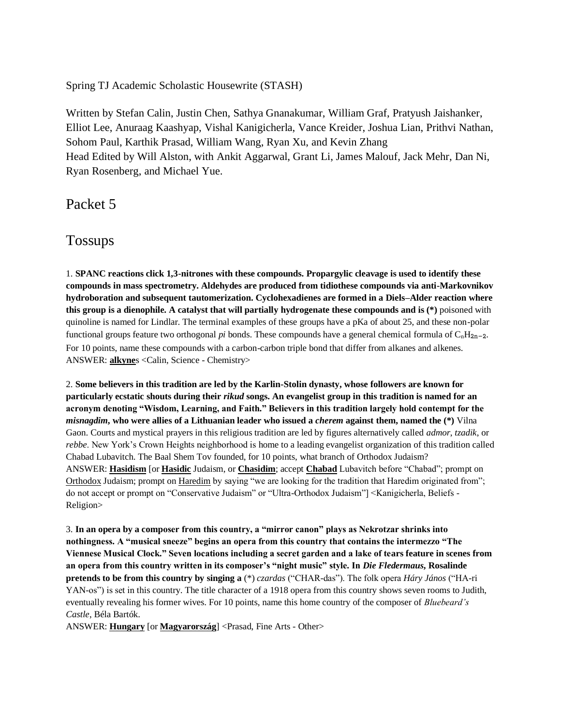Spring TJ Academic Scholastic Housewrite (STASH)

Written by Stefan Calin, Justin Chen, Sathya Gnanakumar, William Graf, Pratyush Jaishanker, Elliot Lee, Anuraag Kaashyap, Vishal Kanigicherla, Vance Kreider, Joshua Lian, Prithvi Nathan, Sohom Paul, Karthik Prasad, William Wang, Ryan Xu, and Kevin Zhang Head Edited by Will Alston, with Ankit Aggarwal, Grant Li, James Malouf, Jack Mehr, Dan Ni, Ryan Rosenberg, and Michael Yue.

Packet 5

Tossups

1. **SPANC reactions click 1,3-nitrones with these compounds. Propargylic cleavage is used to identify these compounds in mass spectrometry. Aldehydes are produced from tidiothese compounds via anti-Markovnikov hydroboration and subsequent tautomerization. Cyclohexadienes are formed in a Diels–Alder reaction where this group is a dienophile. A catalyst that will partially hydrogenate these compounds and is (\*)** poisoned with quinoline is named for Lindlar. The terminal examples of these groups have a pKa of about 25, and these non-polar functional groups feature two orthogonal *pi* bonds. These compounds have a general chemical formula of  $C_nH_{2n-2}$ . For 10 points, name these compounds with a carbon-carbon triple bond that differ from alkanes and alkenes. ANSWER: **alkyne**s <Calin, Science - Chemistry>

2. **Some believers in this tradition are led by the Karlin-Stolin dynasty, whose followers are known for particularly ecstatic shouts during their** *rikud* **songs. An evangelist group in this tradition is named for an acronym denoting "Wisdom, Learning, and Faith." Believers in this tradition largely hold contempt for the**  *misnagdim***, who were allies of a Lithuanian leader who issued a** *cherem* **against them, named the (\*)** Vilna Gaon. Courts and mystical prayers in this religious tradition are led by figures alternatively called *admor*, *tzadik*, or *rebbe*. New York's Crown Heights neighborhood is home to a leading evangelist organization of this tradition called Chabad Lubavitch. The Baal Shem Tov founded, for 10 points, what branch of Orthodox Judaism? ANSWER: **Hasidism** [or **Hasidic** Judaism, or **Chasidim**; accept **Chabad** Lubavitch before "Chabad"; prompt on Orthodox Judaism; prompt on Haredim by saying "we are looking for the tradition that Haredim originated from"; do not accept or prompt on "Conservative Judaism" or "Ultra-Orthodox Judaism"] <Kanigicherla, Beliefs - Religion>

3. **In an opera by a composer from this country, a "mirror canon" plays as Nekrotzar shrinks into nothingness. A "musical sneeze" begins an opera from this country that contains the intermezzo "The Viennese Musical Clock." Seven locations including a secret garden and a lake of tears feature in scenes from an opera from this country written in its composer's "night music" style. In** *Die Fledermaus***, Rosalinde pretends to be from this country by singing a** (\*) *czardas* ("CHAR-das"). The folk opera *Háry János* ("HA-ri YAN-os") is set in this country. The title character of a 1918 opera from this country shows seven rooms to Judith, eventually revealing his former wives. For 10 points, name this home country of the composer of *Bluebeard's Castle*, Béla Bartók.

ANSWER: **Hungary** [or **Magyarország**] <Prasad, Fine Arts - Other>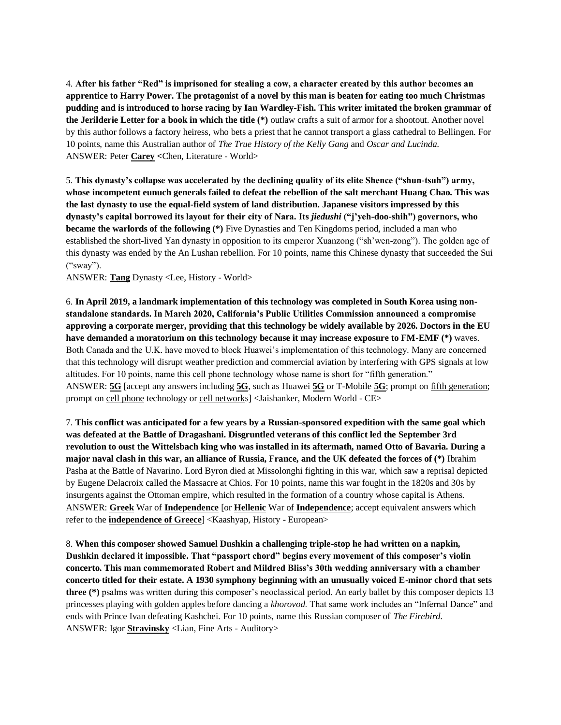4. **After his father "Red" is imprisoned for stealing a cow, a character created by this author becomes an apprentice to Harry Power. The protagonist of a novel by this man is beaten for eating too much Christmas pudding and is introduced to horse racing by Ian Wardley-Fish. This writer imitated the broken grammar of the Jerilderie Letter for a book in which the title (\*)** outlaw crafts a suit of armor for a shootout. Another novel by this author follows a factory heiress, who bets a priest that he cannot transport a glass cathedral to Bellingen. For 10 points, name this Australian author of *The True History of the Kelly Gang* and *Oscar and Lucinda.*  ANSWER: Peter **Carey <**Chen, Literature - World>

5. **This dynasty's collapse was accelerated by the declining quality of its elite Shence ("shun-tsuh") army, whose incompetent eunuch generals failed to defeat the rebellion of the salt merchant Huang Chao. This was the last dynasty to use the equal-field system of land distribution. Japanese visitors impressed by this dynasty's capital borrowed its layout for their city of Nara. Its** *jiedushi* **("j'yeh-doo-shih") governors, who became the warlords of the following (\*)** Five Dynasties and Ten Kingdoms period, included a man who established the short-lived Yan dynasty in opposition to its emperor Xuanzong ("sh'wen-zong"). The golden age of this dynasty was ended by the An Lushan rebellion. For 10 points, name this Chinese dynasty that succeeded the Sui ("sway").

ANSWER: **Tang** Dynasty <Lee, History - World>

6. **In April 2019, a landmark implementation of this technology was completed in South Korea using nonstandalone standards. In March 2020, California's Public Utilities Commission announced a compromise approving a corporate merger, providing that this technology be widely available by 2026. Doctors in the EU have demanded a moratorium on this technology because it may increase exposure to FM-EMF (\*)** waves. Both Canada and the U.K. have moved to block Huawei's implementation of this technology. Many are concerned that this technology will disrupt weather prediction and commercial aviation by interfering with GPS signals at low altitudes. For 10 points, name this cell phone technology whose name is short for "fifth generation." ANSWER: **5G** [accept any answers including **5G**, such as Huawei **5G** or T-Mobile **5G**; prompt on fifth generation; prompt on cell phone technology or cell networks] <Jaishanker, Modern World - CE>

7. **This conflict was anticipated for a few years by a Russian-sponsored expedition with the same goal which was defeated at the Battle of Dragashani. Disgruntled veterans of this conflict led the September 3rd revolution to oust the Wittelsbach king who was installed in its aftermath, named Otto of Bavaria. During a major naval clash in this war, an alliance of Russia, France, and the UK defeated the forces of (\*)** Ibrahim Pasha at the Battle of Navarino. Lord Byron died at Missolonghi fighting in this war, which saw a reprisal depicted by Eugene Delacroix called the Massacre at Chios. For 10 points, name this war fought in the 1820s and 30s by insurgents against the Ottoman empire, which resulted in the formation of a country whose capital is Athens. ANSWER: **Greek** War of **Independence** [or **Hellenic** War of **Independence**; accept equivalent answers which refer to the **independence of Greece**] <Kaashyap, History - European>

8. **When this composer showed Samuel Dushkin a challenging triple-stop he had written on a napkin, Dushkin declared it impossible. That "passport chord" begins every movement of this composer's violin concerto. This man commemorated Robert and Mildred Bliss's 30th wedding anniversary with a chamber concerto titled for their estate. A 1930 symphony beginning with an unusually voiced E-minor chord that sets three (\*)** psalms was written during this composer's neoclassical period. An early ballet by this composer depicts 13 princesses playing with golden apples before dancing a *khorovod*. That same work includes an "Infernal Dance" and ends with Prince Ivan defeating Kashchei. For 10 points, name this Russian composer of *The Firebird*. ANSWER: Igor **Stravinsky** <Lian, Fine Arts - Auditory>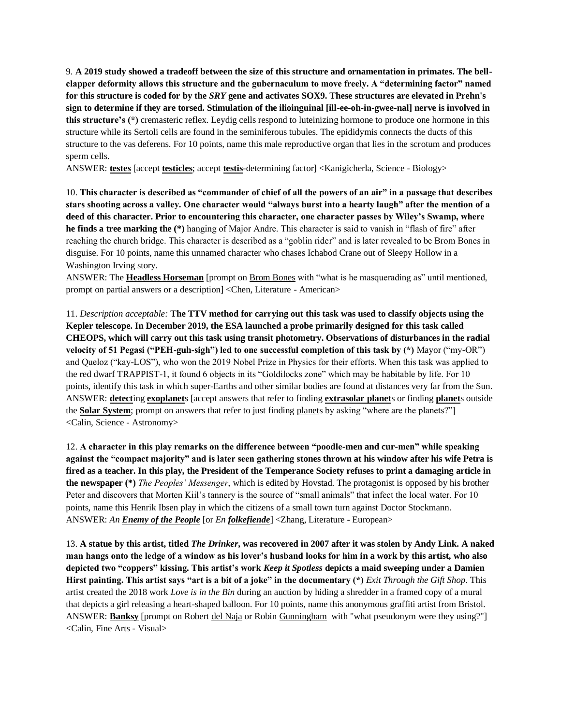9. **A 2019 study showed a tradeoff between the size of this structure and ornamentation in primates. The bellclapper deformity allows this structure and the gubernaculum to move freely. A "determining factor" named for this structure is coded for by the** *SRY* **gene and activates SOX9. These structures are elevated in Prehn's sign to determine if they are torsed. Stimulation of the ilioinguinal [ill-ee-oh-in-gwee-nal] nerve is involved in this structure's (\*)** cremasteric reflex. Leydig cells respond to luteinizing hormone to produce one hormone in this structure while its Sertoli cells are found in the seminiferous tubules. The epididymis connects the ducts of this structure to the vas deferens. For 10 points, name this male reproductive organ that lies in the scrotum and produces sperm cells.

ANSWER: **testes** [accept **testicles**; accept **testis**-determining factor] <Kanigicherla, Science - Biology>

10. **This character is described as "commander of chief of all the powers of an air" in a passage that describes stars shooting across a valley. One character would "always burst into a hearty laugh" after the mention of a deed of this character. Prior to encountering this character, one character passes by Wiley's Swamp, where he finds a tree marking the (\*)** hanging of Major Andre. This character is said to vanish in "flash of fire" after reaching the church bridge. This character is described as a "goblin rider" and is later revealed to be Brom Bones in disguise. For 10 points, name this unnamed character who chases Ichabod Crane out of Sleepy Hollow in a Washington Irving story.

ANSWER: The **Headless Horseman** [prompt on Brom Bones with "what is he masquerading as" until mentioned, prompt on partial answers or a description] <Chen, Literature - American>

11. *Description acceptable:* **The TTV method for carrying out this task was used to classify objects using the Kepler telescope. In December 2019, the ESA launched a probe primarily designed for this task called CHEOPS, which will carry out this task using transit photometry. Observations of disturbances in the radial velocity of 51 Pegasi ("PEH-guh-sigh") led to one successful completion of this task by (\*)** Mayor ("my-OR") and Queloz ("kay-LOS"), who won the 2019 Nobel Prize in Physics for their efforts. When this task was applied to the red dwarf TRAPPIST-1, it found 6 objects in its "Goldilocks zone" which may be habitable by life. For 10 points, identify this task in which super-Earths and other similar bodies are found at distances very far from the Sun. ANSWER: **detect**ing **exoplanet**s [accept answers that refer to finding **extrasolar planet**s or finding **planet**s outside the **Solar System**; prompt on answers that refer to just finding planets by asking "where are the planets?"] <Calin, Science - Astronomy>

12. **A character in this play remarks on the difference between "poodle-men and cur-men" while speaking against the "compact majority" and is later seen gathering stones thrown at his window after his wife Petra is fired as a teacher. In this play, the President of the Temperance Society refuses to print a damaging article in the newspaper (\*)** *The Peoples' Messenger*, which is edited by Hovstad. The protagonist is opposed by his brother Peter and discovers that Morten Kiil's tannery is the source of "small animals" that infect the local water. For 10 points, name this Henrik Ibsen play in which the citizens of a small town turn against Doctor Stockmann. ANSWER: *An Enemy of the People* [or *En folkefiende*] <Zhang, Literature - European>

13. **A statue by this artist, titled** *The Drinker***, was recovered in 2007 after it was stolen by Andy Link. A naked man hangs onto the ledge of a window as his lover's husband looks for him in a work by this artist, who also depicted two "coppers" kissing. This artist's work** *Keep it Spotless* **depicts a maid sweeping under a Damien Hirst painting. This artist says "art is a bit of a joke" in the documentary (\*)** *Exit Through the Gift Shop*. This artist created the 2018 work *Love is in the Bin* during an auction by hiding a shredder in a framed copy of a mural that depicts a girl releasing a heart-shaped balloon. For 10 points, name this anonymous graffiti artist from Bristol. ANSWER: **Banksy** [prompt on Robert del Naja or Robin Gunningham with "what pseudonym were they using?"] <Calin, Fine Arts - Visual>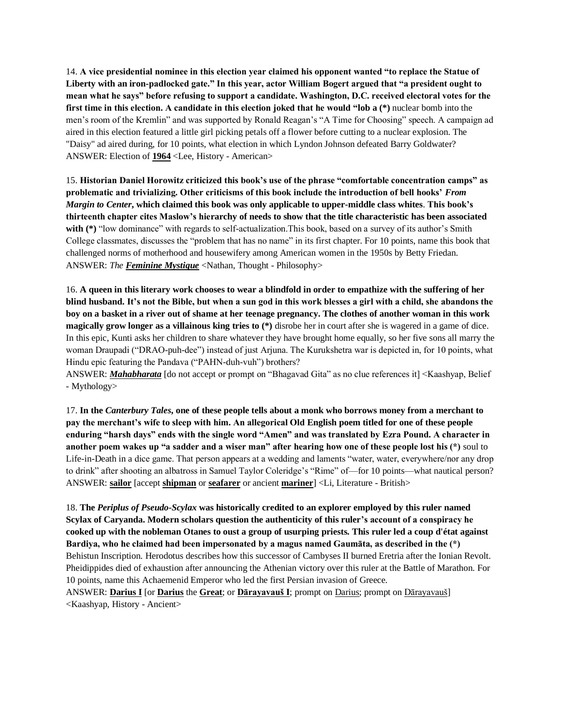14. **A vice presidential nominee in this election year claimed his opponent wanted "to replace the Statue of Liberty with an iron-padlocked gate." In this year, actor William Bogert argued that "a president ought to mean what he says" before refusing to support a candidate. Washington, D.C. received electoral votes for the first time in this election. A candidate in this election joked that he would "lob a (\*)** nuclear bomb into the men's room of the Kremlin" and was supported by Ronald Reagan's "A Time for Choosing" speech. A campaign ad aired in this election featured a little girl picking petals off a flower before cutting to a nuclear explosion. The "Daisy" ad aired during, for 10 points, what election in which Lyndon Johnson defeated Barry Goldwater? ANSWER: Election of **1964** <Lee, History - American>

15. **Historian Daniel Horowitz criticized this book's use of the phrase "comfortable concentration camps" as problematic and trivializing. Other criticisms of this book include the introduction of bell hooks'** *From Margin to Center***, which claimed this book was only applicable to upper-middle class whites**. **This book's thirteenth chapter cites Maslow's hierarchy of needs to show that the title characteristic has been associated with (\*)** "low dominance" with regards to self-actualization.This book, based on a survey of its author's Smith College classmates, discusses the "problem that has no name" in its first chapter. For 10 points, name this book that challenged norms of motherhood and housewifery among American women in the 1950s by Betty Friedan. ANSWER: *The Feminine Mystique* <Nathan, Thought - Philosophy>

16. **A queen in this literary work chooses to wear a blindfold in order to empathize with the suffering of her blind husband. It's not the Bible, but when a sun god in this work blesses a girl with a child, she abandons the boy on a basket in a river out of shame at her teenage pregnancy. The clothes of another woman in this work magically grow longer as a villainous king tries to (\*)** disrobe her in court after she is wagered in a game of dice. In this epic, Kunti asks her children to share whatever they have brought home equally, so her five sons all marry the woman Draupadi ("DRAO-puh-dee") instead of just Arjuna. The Kurukshetra war is depicted in, for 10 points, what Hindu epic featuring the Pandava ("PAHN-duh-vuh") brothers?

ANSWER: *Mahabharata* [do not accept or prompt on "Bhagavad Gita" as no clue references it] <Kaashyap, Belief - Mythology>

17. **In the** *Canterbury Tales***, one of these people tells about a monk who borrows money from a merchant to pay the merchant's wife to sleep with him. An allegorical Old English poem titled for one of these people enduring "harsh days" ends with the single word "Amen" and was translated by Ezra Pound. A character in another poem wakes up "a sadder and a wiser man" after hearing how one of these people lost his (\*)** soul to Life-in-Death in a dice game. That person appears at a wedding and laments "water, water, everywhere/nor any drop to drink" after shooting an albatross in Samuel Taylor Coleridge's "Rime" of—for 10 points—what nautical person? ANSWER: **sailor** [accept **shipman** or **seafarer** or ancient **mariner**] <Li, Literature - British>

18. **The** *Periplus of Pseudo-Scylax* **was historically credited to an explorer employed by this ruler named Scylax of Caryanda. Modern scholars question the authenticity of this ruler's account of a conspiracy he cooked up with the nobleman Otanes to oust a group of usurping priests. This ruler led a coup d'état against Bardiya, who he claimed had been impersonated by a magus named Gaumāta, as described in the (\*)** Behistun Inscription. Herodotus describes how this successor of Cambyses II burned Eretria after the Ionian Revolt. Pheidippides died of exhaustion after announcing the Athenian victory over this ruler at the Battle of Marathon. For 10 points, name this Achaemenid Emperor who led the first Persian invasion of Greece.

ANSWER: **Darius I** [or **Darius** the **Great**; or **Dārayavauš I**; prompt on Darius; prompt on Dārayavauš] <Kaashyap, History - Ancient>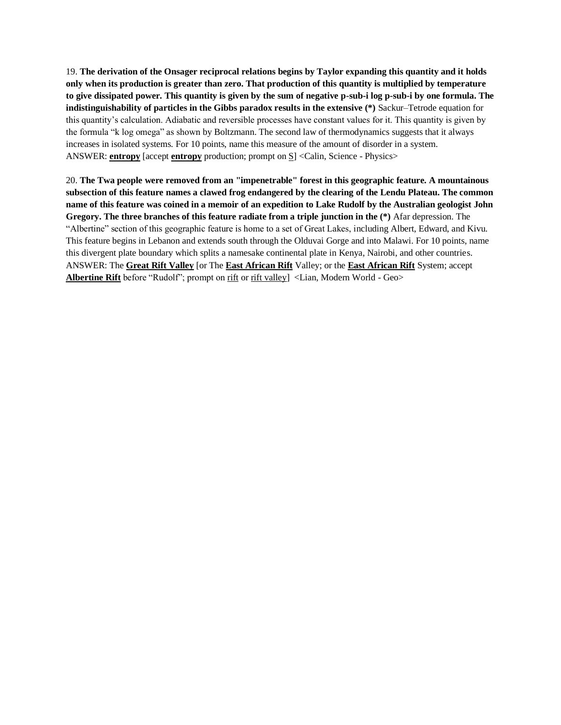19. **The derivation of the Onsager reciprocal relations begins by Taylor expanding this quantity and it holds only when its production is greater than zero. That production of this quantity is multiplied by temperature to give dissipated power. This quantity is given by the sum of negative p-sub-i log p-sub-i by one formula. The indistinguishability of particles in the Gibbs paradox results in the extensive (\*)** Sackur–Tetrode equation for this quantity's calculation. Adiabatic and reversible processes have constant values for it. This quantity is given by the formula "k log omega" as shown by Boltzmann. The second law of thermodynamics suggests that it always increases in isolated systems. For 10 points, name this measure of the amount of disorder in a system. ANSWER: **entropy** [accept **entropy** production; prompt on S] <Calin, Science - Physics>

20. **The Twa people were removed from an "impenetrable" forest in this geographic feature. A mountainous subsection of this feature names a clawed frog endangered by the clearing of the Lendu Plateau. The common name of this feature was coined in a memoir of an expedition to Lake Rudolf by the Australian geologist John Gregory. The three branches of this feature radiate from a triple junction in the (\*)** Afar depression. The "Albertine" section of this geographic feature is home to a set of Great Lakes, including Albert, Edward, and Kivu. This feature begins in Lebanon and extends south through the Olduvai Gorge and into Malawi. For 10 points, name this divergent plate boundary which splits a namesake continental plate in Kenya, Nairobi, and other countries. ANSWER: The **Great Rift Valley** [or The **East African Rift** Valley; or the **East African Rift** System; accept **Albertine Rift** before "Rudolf"; prompt on rift or rift valley] <Lian, Modern World - Geo>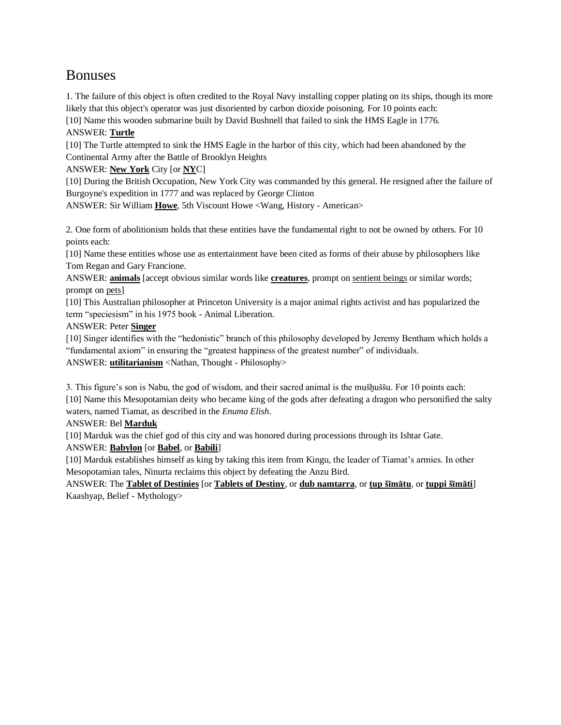# Bonuses

1. The failure of this object is often credited to the Royal Navy installing copper plating on its ships, though its more likely that this object's operator was just disoriented by carbon dioxide poisoning. For 10 points each:

[10] Name this wooden submarine built by David Bushnell that failed to sink the HMS Eagle in 1776.

# ANSWER: **Turtle**

[10] The Turtle attempted to sink the HMS Eagle in the harbor of this city, which had been abandoned by the Continental Army after the Battle of Brooklyn Heights

ANSWER: **New York** City [or **NY**C]

[10] During the British Occupation, New York City was commanded by this general. He resigned after the failure of Burgoyne's expedition in 1777 and was replaced by George Clinton

ANSWER: Sir William **Howe**, 5th Viscount Howe <Wang, History - American>

2. One form of abolitionism holds that these entities have the fundamental right to not be owned by others. For 10 points each:

[10] Name these entities whose use as entertainment have been cited as forms of their abuse by philosophers like Tom Regan and Gary Francione.

ANSWER: **animals** [accept obvious similar words like **creatures**, prompt on sentient beings or similar words; prompt on pets]

[10] This Australian philosopher at Princeton University is a major animal rights activist and has popularized the term "speciesism" in his 1975 book - Animal Liberation.

## ANSWER: Peter **Singer**

[10] Singer identifies with the "hedonistic" branch of this philosophy developed by Jeremy Bentham which holds a "fundamental axiom" in ensuring the "greatest happiness of the greatest number" of individuals.

ANSWER: **utilitarianism** <Nathan, Thought - Philosophy>

3. This figure's son is Nabu, the god of wisdom, and their sacred animal is the mušḫuššu. For 10 points each: [10] Name this Mesopotamian deity who became king of the gods after defeating a dragon who personified the salty waters, named Tiamat, as described in the *Enuma Elish*.

ANSWER: Bel **Marduk**

[10] Marduk was the chief god of this city and was honored during processions through its Ishtar Gate. ANSWER: **Babylon** [or **Babel**, or **Babili**]

[10] Marduk establishes himself as king by taking this item from Kingu, the leader of Tiamat's armies. In other Mesopotamian tales, Ninurta reclaims this object by defeating the Anzu Bird.

ANSWER: The **Tablet of Destinies** [or **Tablets of Destiny**, or **dub namtarra**, or **ṭup šīmātu**, or **ṭuppi šīmāti**] Kaashyap, Belief - Mythology>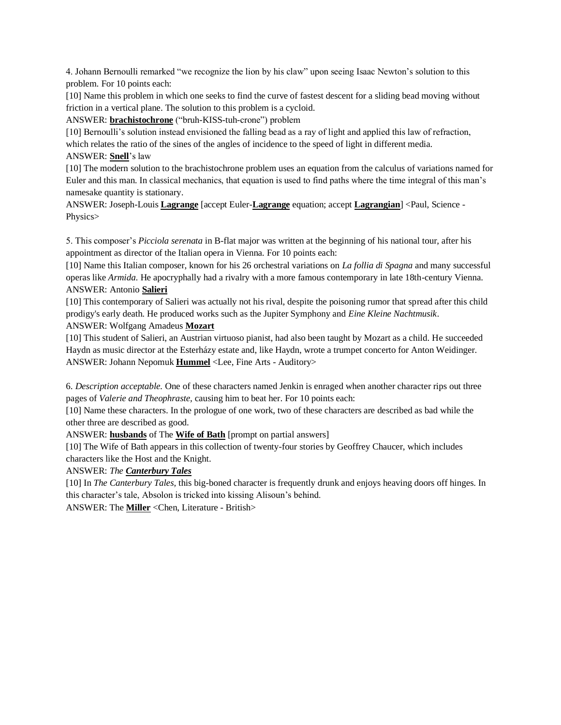4. Johann Bernoulli remarked "we recognize the lion by his claw" upon seeing Isaac Newton's solution to this problem. For 10 points each:

[10] Name this problem in which one seeks to find the curve of fastest descent for a sliding bead moving without friction in a vertical plane. The solution to this problem is a cycloid.

ANSWER: **brachistochrone** ("bruh-KISS-tuh-crone") problem

[10] Bernoulli's solution instead envisioned the falling bead as a ray of light and applied this law of refraction, which relates the ratio of the sines of the angles of incidence to the speed of light in different media.

ANSWER: **Snell**'s law

[10] The modern solution to the brachistochrone problem uses an equation from the calculus of variations named for Euler and this man. In classical mechanics, that equation is used to find paths where the time integral of this man's namesake quantity is stationary.

ANSWER: Joseph-Louis **Lagrange** [accept Euler-**Lagrange** equation; accept **Lagrangian**] <Paul, Science - Physics>

5. This composer's *Picciola serenata* in B-flat major was written at the beginning of his national tour, after his appointment as director of the Italian opera in Vienna. For 10 points each:

[10] Name this Italian composer, known for his 26 orchestral variations on *La follia di Spagna* and many successful operas like *Armida*. He apocryphally had a rivalry with a more famous contemporary in late 18th-century Vienna. ANSWER: Antonio **Salieri**

[10] This contemporary of Salieri was actually not his rival, despite the poisoning rumor that spread after this child prodigy's early death. He produced works such as the Jupiter Symphony and *Eine Kleine Nachtmusik*. ANSWER: Wolfgang Amadeus **Mozart**

[10] This student of Salieri, an Austrian virtuoso pianist, had also been taught by Mozart as a child. He succeeded Haydn as music director at the Esterházy estate and, like Haydn, wrote a trumpet concerto for Anton Weidinger. ANSWER: Johann Nepomuk **Hummel** <Lee, Fine Arts - Auditory>

6. *Description acceptable.* One of these characters named Jenkin is enraged when another character rips out three pages of *Valerie and Theophraste,* causing him to beat her. For 10 points each:

[10] Name these characters. In the prologue of one work, two of these characters are described as bad while the other three are described as good.

ANSWER: **husbands** of The **Wife of Bath** [prompt on partial answers]

[10] The Wife of Bath appears in this collection of twenty-four stories by Geoffrey Chaucer, which includes characters like the Host and the Knight.

ANSWER: *The Canterbury Tales*

[10] In *The Canterbury Tales,* this big-boned character is frequently drunk and enjoys heaving doors off hinges. In this character's tale, Absolon is tricked into kissing Alisoun's behind.

ANSWER: The **Miller** <Chen, Literature - British>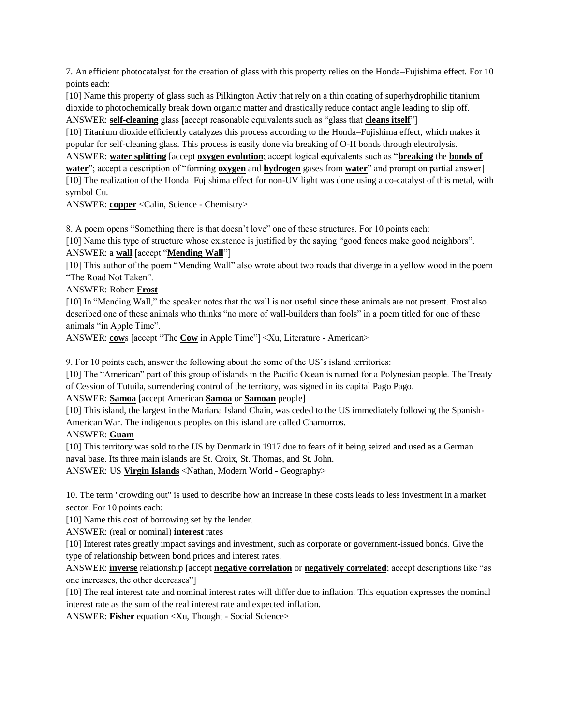7. An efficient photocatalyst for the creation of glass with this property relies on the Honda–Fujishima effect. For 10 points each:

[10] Name this property of glass such as Pilkington Activ that rely on a thin coating of superhydrophilic titanium dioxide to photochemically break down organic matter and drastically reduce contact angle leading to slip off. ANSWER: **self-cleaning** glass [accept reasonable equivalents such as "glass that **cleans itself**"]

[10] Titanium dioxide efficiently catalyzes this process according to the Honda–Fujishima effect, which makes it popular for self-cleaning glass. This process is easily done via breaking of O-H bonds through electrolysis.

ANSWER: **water splitting** [accept **oxygen evolution**; accept logical equivalents such as "**breaking** the **bonds of water**"; accept a description of "forming **oxygen** and **hydrogen** gases from **water**" and prompt on partial answer] [10] The realization of the Honda–Fujishima effect for non-UV light was done using a co-catalyst of this metal, with symbol Cu.

ANSWER: **copper** <Calin, Science - Chemistry>

8. A poem opens "Something there is that doesn't love" one of these structures. For 10 points each:

[10] Name this type of structure whose existence is justified by the saying "good fences make good neighbors".

ANSWER: a **wall** [accept "**Mending Wall**"]

[10] This author of the poem "Mending Wall" also wrote about two roads that diverge in a yellow wood in the poem "The Road Not Taken".

ANSWER: Robert **Frost**

[10] In "Mending Wall," the speaker notes that the wall is not useful since these animals are not present. Frost also described one of these animals who thinks "no more of wall-builders than fools" in a poem titled for one of these animals "in Apple Time".

ANSWER: **cow**s [accept "The **Cow** in Apple Time"] <Xu, Literature - American>

9. For 10 points each, answer the following about the some of the US's island territories:

[10] The "American" part of this group of islands in the Pacific Ocean is named for a Polynesian people. The Treaty of Cession of Tutuila, surrendering control of the territory, was signed in its capital Pago Pago.

#### ANSWER: **Samoa** [accept American **Samoa** or **Samoan** people]

[10] This island, the largest in the Mariana Island Chain, was ceded to the US immediately following the Spanish-American War. The indigenous peoples on this island are called Chamorros.

#### ANSWER: **Guam**

[10] This territory was sold to the US by Denmark in 1917 due to fears of it being seized and used as a German naval base. Its three main islands are St. Croix, St. Thomas, and St. John.

ANSWER: US **Virgin Islands** <Nathan, Modern World - Geography>

10. The term "crowding out" is used to describe how an increase in these costs leads to less investment in a market sector. For 10 points each:

[10] Name this cost of borrowing set by the lender.

ANSWER: (real or nominal) **interest** rates

[10] Interest rates greatly impact savings and investment, such as corporate or government-issued bonds. Give the type of relationship between bond prices and interest rates.

ANSWER: **inverse** relationship [accept **negative correlation** or **negatively correlated**; accept descriptions like "as one increases, the other decreases"]

[10] The real interest rate and nominal interest rates will differ due to inflation. This equation expresses the nominal interest rate as the sum of the real interest rate and expected inflation.

ANSWER: **Fisher** equation <Xu, Thought - Social Science>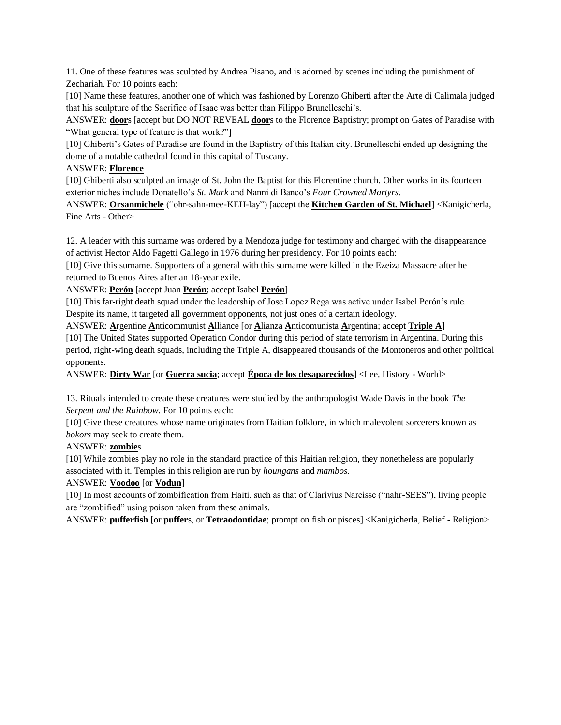11. One of these features was sculpted by Andrea Pisano, and is adorned by scenes including the punishment of Zechariah. For 10 points each:

[10] Name these features, another one of which was fashioned by Lorenzo Ghiberti after the Arte di Calimala judged that his sculpture of the Sacrifice of Isaac was better than Filippo Brunelleschi's.

ANSWER: **door**s [accept but DO NOT REVEAL **door**s to the Florence Baptistry; prompt on Gates of Paradise with "What general type of feature is that work?"]

[10] Ghiberti's Gates of Paradise are found in the Baptistry of this Italian city. Brunelleschi ended up designing the dome of a notable cathedral found in this capital of Tuscany.

#### ANSWER: **Florence**

[10] Ghiberti also sculpted an image of St. John the Baptist for this Florentine church. Other works in its fourteen exterior niches include Donatello's *St. Mark* and Nanni di Banco's *Four Crowned Martyrs*.

ANSWER: **Orsanmichele** ("ohr-sahn-mee-KEH-lay") [accept the **Kitchen Garden of St. Michael**] <Kanigicherla, Fine Arts - Other>

12. A leader with this surname was ordered by a Mendoza judge for testimony and charged with the disappearance of activist Hector Aldo Fagetti Gallego in 1976 during her presidency. For 10 points each:

[10] Give this surname. Supporters of a general with this surname were killed in the Ezeiza Massacre after he returned to Buenos Aires after an 18-year exile.

ANSWER: **Perón** [accept Juan **Perón**; accept Isabel **Perón**]

[10] This far-right death squad under the leadership of Jose Lopez Rega was active under Isabel Perón's rule. Despite its name, it targeted all government opponents, not just ones of a certain ideology.

ANSWER: **A**rgentine **A**nticommunist **A**lliance [or **A**lianza **A**nticomunista **A**rgentina; accept **Triple A**]

[10] The United States supported Operation Condor during this period of state terrorism in Argentina. During this period, right-wing death squads, including the Triple A, disappeared thousands of the Montoneros and other political opponents.

ANSWER: **Dirty War** [or **Guerra sucia**; accept **Época de los desaparecidos**] <Lee, History - World>

13. Rituals intended to create these creatures were studied by the anthropologist Wade Davis in the book *The Serpent and the Rainbow*. For 10 points each:

[10] Give these creatures whose name originates from Haitian folklore, in which malevolent sorcerers known as *bokors* may seek to create them.

#### ANSWER: **zombie**s

[10] While zombies play no role in the standard practice of this Haitian religion, they nonetheless are popularly associated with it. Temples in this religion are run by *houngans* and *mambos*.

#### ANSWER: **Voodoo** [or **Vodun**]

[10] In most accounts of zombification from Haiti, such as that of Clarivius Narcisse ("nahr-SEES"), living people are "zombified" using poison taken from these animals.

ANSWER: **pufferfish** [or **puffer**s, or **Tetraodontidae**; prompt on fish or pisces] <Kanigicherla, Belief - Religion>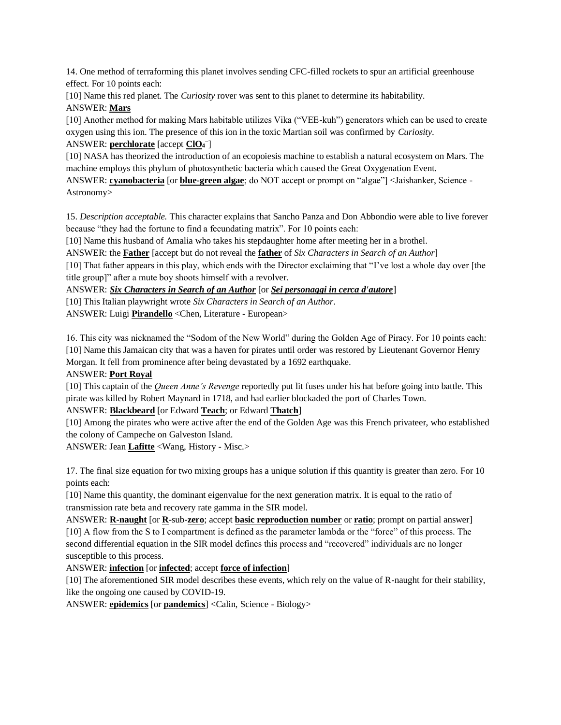14. One method of terraforming this planet involves sending CFC-filled rockets to spur an artificial greenhouse effect. For 10 points each:

[10] Name this red planet. The *Curiosity* rover was sent to this planet to determine its habitability. ANSWER: **Mars**

[10] Another method for making Mars habitable utilizes Vika ("VEE-kuh") generators which can be used to create oxygen using this ion. The presence of this ion in the toxic Martian soil was confirmed by *Curiosity*. ANSWER: **perchlorate** [accept **ClO<sup>4</sup> –** ]

[10] NASA has theorized the introduction of an ecopoiesis machine to establish a natural ecosystem on Mars. The machine employs this phylum of photosynthetic bacteria which caused the Great Oxygenation Event.

ANSWER: **cyanobacteria** [or **blue-green algae**; do NOT accept or prompt on "algae"] <Jaishanker, Science - Astronomy>

15. *Description acceptable.* This character explains that Sancho Panza and Don Abbondio were able to live forever because "they had the fortune to find a fecundating matrix". For 10 points each:

[10] Name this husband of Amalia who takes his stepdaughter home after meeting her in a brothel.

ANSWER: the **Father** [accept but do not reveal the **father** of *Six Characters in Search of an Author*]

[10] That father appears in this play, which ends with the Director exclaiming that "I've lost a whole day over [the title group]" after a mute boy shoots himself with a revolver.

ANSWER: *Six Characters in Search of an Author* [or *Sei personaggi in cerca d'autore*]

[10] This Italian playwright wrote *Six Characters in Search of an Author*.

ANSWER: Luigi **Pirandello** <Chen, Literature - European>

16. This city was nicknamed the "Sodom of the New World" during the Golden Age of Piracy. For 10 points each: [10] Name this Jamaican city that was a haven for pirates until order was restored by Lieutenant Governor Henry Morgan. It fell from prominence after being devastated by a 1692 earthquake.

## ANSWER: **Port Royal**

[10] This captain of the *Queen Anne's Revenge* reportedly put lit fuses under his hat before going into battle. This pirate was killed by Robert Maynard in 1718, and had earlier blockaded the port of Charles Town.

ANSWER: **Blackbeard** [or Edward **Teach**; or Edward **Thatch**]

[10] Among the pirates who were active after the end of the Golden Age was this French privateer, who established the colony of Campeche on Galveston Island.

ANSWER: Jean **Lafitte** <Wang, History - Misc.>

17. The final size equation for two mixing groups has a unique solution if this quantity is greater than zero. For 10 points each:

[10] Name this quantity, the dominant eigenvalue for the next generation matrix. It is equal to the ratio of transmission rate beta and recovery rate gamma in the SIR model.

ANSWER: **R-naught** [or **R**-sub-**zero**; accept **basic reproduction number** or **ratio**; prompt on partial answer] [10] A flow from the S to I compartment is defined as the parameter lambda or the "force" of this process. The second differential equation in the SIR model defines this process and "recovered" individuals are no longer susceptible to this process.

ANSWER: **infection** [or **infected**; accept **force of infection**]

[10] The aforementioned SIR model describes these events, which rely on the value of R-naught for their stability, like the ongoing one caused by COVID-19.

ANSWER: **epidemics** [or **pandemics**] <Calin, Science - Biology>